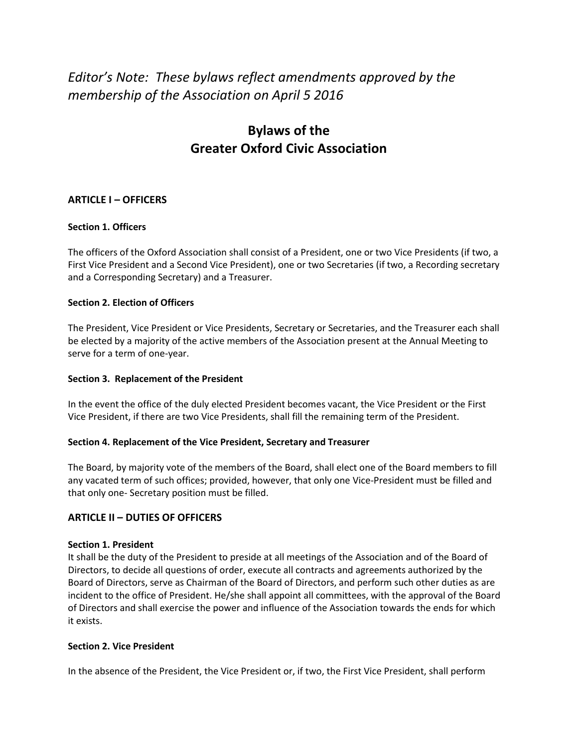# *Editor's Note: These bylaws reflect amendments approved by the membership of the Association on April 5 2016*

# **Bylaws of the Greater Oxford Civic Association**

# **ARTICLE I – OFFICERS**

## **Section 1. Officers**

The officers of the Oxford Association shall consist of a President, one or two Vice Presidents (if two, a First Vice President and a Second Vice President), one or two Secretaries (if two, a Recording secretary and a Corresponding Secretary) and a Treasurer.

## **Section 2. Election of Officers**

The President, Vice President or Vice Presidents, Secretary or Secretaries, and the Treasurer each shall be elected by a majority of the active members of the Association present at the Annual Meeting to serve for a term of one-year.

## **Section 3. Replacement of the President**

In the event the office of the duly elected President becomes vacant, the Vice President or the First Vice President, if there are two Vice Presidents, shall fill the remaining term of the President.

## **Section 4. Replacement of the Vice President, Secretary and Treasurer**

The Board, by majority vote of the members of the Board, shall elect one of the Board members to fill any vacated term of such offices; provided, however, that only one Vice-President must be filled and that only one- Secretary position must be filled.

# **ARTICLE II – DUTIES OF OFFICERS**

## **Section 1. President**

It shall be the duty of the President to preside at all meetings of the Association and of the Board of Directors, to decide all questions of order, execute all contracts and agreements authorized by the Board of Directors, serve as Chairman of the Board of Directors, and perform such other duties as are incident to the office of President. He/she shall appoint all committees, with the approval of the Board of Directors and shall exercise the power and influence of the Association towards the ends for which it exists.

## **Section 2. Vice President**

In the absence of the President, the Vice President or, if two, the First Vice President, shall perform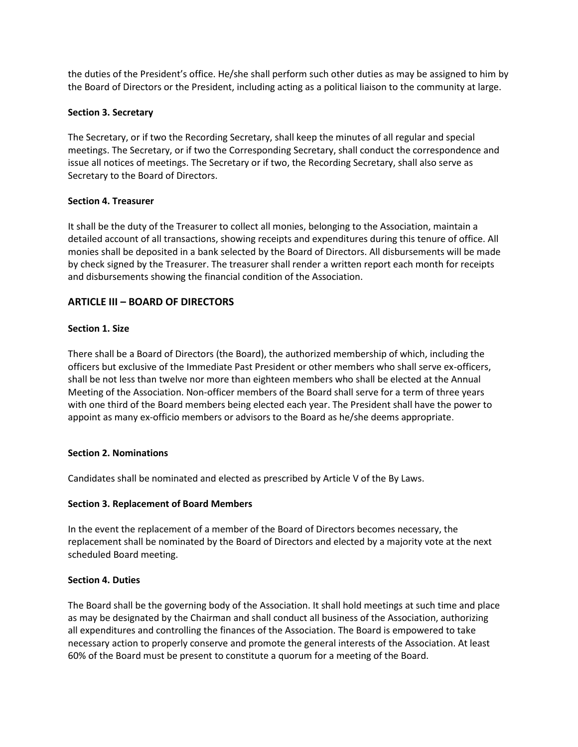the duties of the President's office. He/she shall perform such other duties as may be assigned to him by the Board of Directors or the President, including acting as a political liaison to the community at large.

#### **Section 3. Secretary**

The Secretary, or if two the Recording Secretary, shall keep the minutes of all regular and special meetings. The Secretary, or if two the Corresponding Secretary, shall conduct the correspondence and issue all notices of meetings. The Secretary or if two, the Recording Secretary, shall also serve as Secretary to the Board of Directors.

#### **Section 4. Treasurer**

It shall be the duty of the Treasurer to collect all monies, belonging to the Association, maintain a detailed account of all transactions, showing receipts and expenditures during this tenure of office. All monies shall be deposited in a bank selected by the Board of Directors. All disbursements will be made by check signed by the Treasurer. The treasurer shall render a written report each month for receipts and disbursements showing the financial condition of the Association.

## **ARTICLE III – BOARD OF DIRECTORS**

#### **Section 1. Size**

There shall be a Board of Directors (the Board), the authorized membership of which, including the officers but exclusive of the Immediate Past President or other members who shall serve ex-officers, shall be not less than twelve nor more than eighteen members who shall be elected at the Annual Meeting of the Association. Non-officer members of the Board shall serve for a term of three years with one third of the Board members being elected each year. The President shall have the power to appoint as many ex-officio members or advisors to the Board as he/she deems appropriate.

#### **Section 2. Nominations**

Candidates shall be nominated and elected as prescribed by Article V of the By Laws.

## **Section 3. Replacement of Board Members**

In the event the replacement of a member of the Board of Directors becomes necessary, the replacement shall be nominated by the Board of Directors and elected by a majority vote at the next scheduled Board meeting.

#### **Section 4. Duties**

The Board shall be the governing body of the Association. It shall hold meetings at such time and place as may be designated by the Chairman and shall conduct all business of the Association, authorizing all expenditures and controlling the finances of the Association. The Board is empowered to take necessary action to properly conserve and promote the general interests of the Association. At least 60% of the Board must be present to constitute a quorum for a meeting of the Board.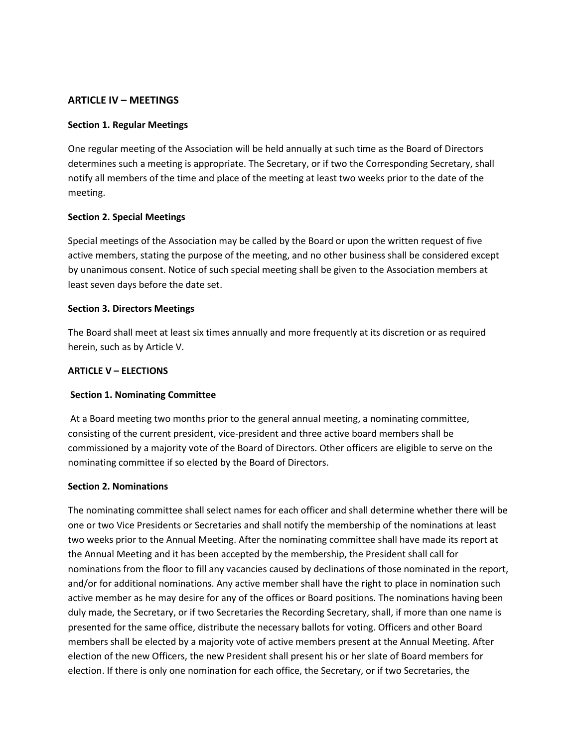## **ARTICLE IV – MEETINGS**

#### **Section 1. Regular Meetings**

One regular meeting of the Association will be held annually at such time as the Board of Directors determines such a meeting is appropriate. The Secretary, or if two the Corresponding Secretary, shall notify all members of the time and place of the meeting at least two weeks prior to the date of the meeting.

## **Section 2. Special Meetings**

Special meetings of the Association may be called by the Board or upon the written request of five active members, stating the purpose of the meeting, and no other business shall be considered except by unanimous consent. Notice of such special meeting shall be given to the Association members at least seven days before the date set.

#### **Section 3. Directors Meetings**

The Board shall meet at least six times annually and more frequently at its discretion or as required herein, such as by Article V.

#### **ARTICLE V – ELECTIONS**

## **Section 1. Nominating Committee**

At a Board meeting two months prior to the general annual meeting, a nominating committee, consisting of the current president, vice-president and three active board members shall be commissioned by a majority vote of the Board of Directors. Other officers are eligible to serve on the nominating committee if so elected by the Board of Directors.

#### **Section 2. Nominations**

The nominating committee shall select names for each officer and shall determine whether there will be one or two Vice Presidents or Secretaries and shall notify the membership of the nominations at least two weeks prior to the Annual Meeting. After the nominating committee shall have made its report at the Annual Meeting and it has been accepted by the membership, the President shall call for nominations from the floor to fill any vacancies caused by declinations of those nominated in the report, and/or for additional nominations. Any active member shall have the right to place in nomination such active member as he may desire for any of the offices or Board positions. The nominations having been duly made, the Secretary, or if two Secretaries the Recording Secretary, shall, if more than one name is presented for the same office, distribute the necessary ballots for voting. Officers and other Board members shall be elected by a majority vote of active members present at the Annual Meeting. After election of the new Officers, the new President shall present his or her slate of Board members for election. If there is only one nomination for each office, the Secretary, or if two Secretaries, the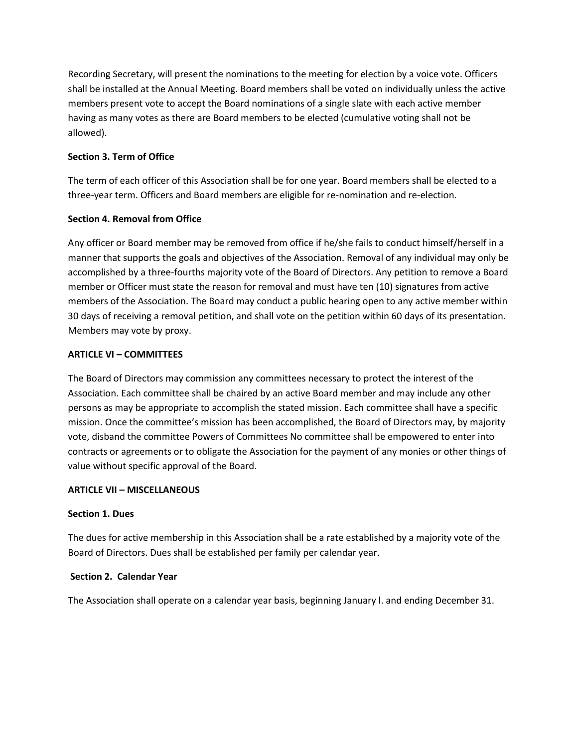Recording Secretary, will present the nominations to the meeting for election by a voice vote. Officers shall be installed at the Annual Meeting. Board members shall be voted on individually unless the active members present vote to accept the Board nominations of a single slate with each active member having as many votes as there are Board members to be elected (cumulative voting shall not be allowed).

## **Section 3. Term of Office**

The term of each officer of this Association shall be for one year. Board members shall be elected to a three-year term. Officers and Board members are eligible for re-nomination and re-election.

## **Section 4. Removal from Office**

Any officer or Board member may be removed from office if he/she fails to conduct himself/herself in a manner that supports the goals and objectives of the Association. Removal of any individual may only be accomplished by a three-fourths majority vote of the Board of Directors. Any petition to remove a Board member or Officer must state the reason for removal and must have ten (10) signatures from active members of the Association. The Board may conduct a public hearing open to any active member within 30 days of receiving a removal petition, and shall vote on the petition within 60 days of its presentation. Members may vote by proxy.

## **ARTICLE VI – COMMITTEES**

The Board of Directors may commission any committees necessary to protect the interest of the Association. Each committee shall be chaired by an active Board member and may include any other persons as may be appropriate to accomplish the stated mission. Each committee shall have a specific mission. Once the committee's mission has been accomplished, the Board of Directors may, by majority vote, disband the committee Powers of Committees No committee shall be empowered to enter into contracts or agreements or to obligate the Association for the payment of any monies or other things of value without specific approval of the Board.

## **ARTICLE VII – MISCELLANEOUS**

## **Section 1. Dues**

The dues for active membership in this Association shall be a rate established by a majority vote of the Board of Directors. Dues shall be established per family per calendar year.

## **Section 2. Calendar Year**

The Association shall operate on a calendar year basis, beginning January l. and ending December 31.